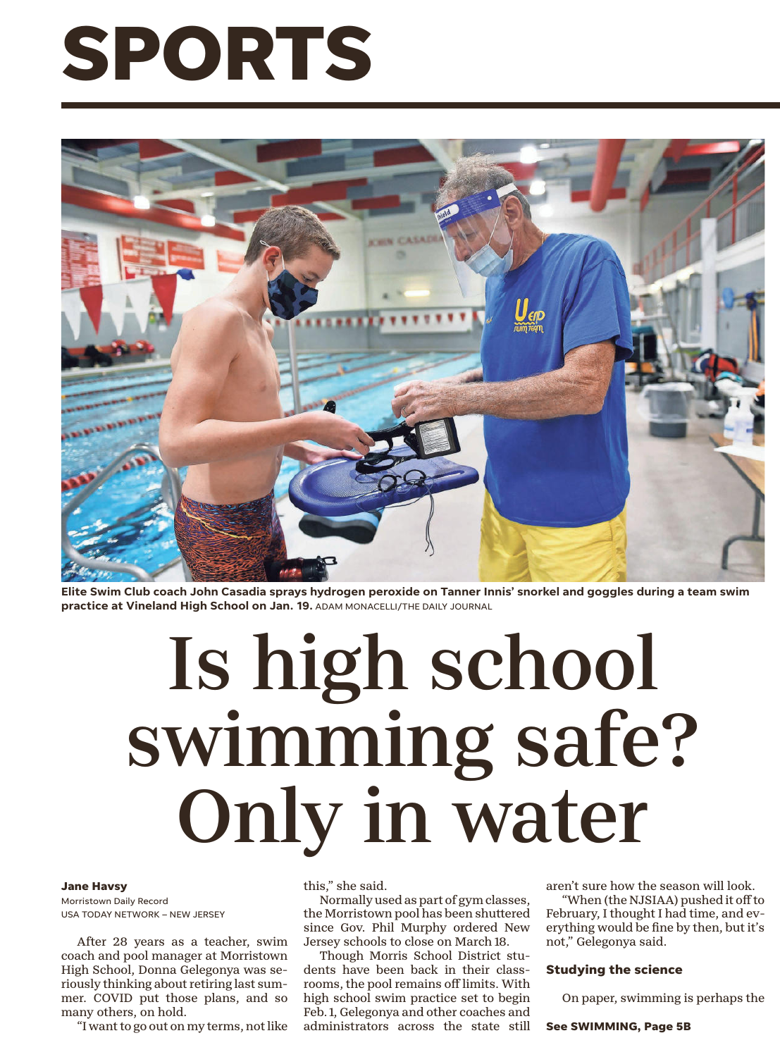# **SPORTS**



**Elite Swim Club coach John Casadia sprays hydrogen peroxide on Tanner Innis' snorkel and goggles during a team swim practice at Vineland High School on Jan. 19.** ADAM MONACELLI/THE DAILY JOURNAL

## Is high school swimming safe? Only in water

#### **Jane Havsy**

Morristown Daily Record USA TODAY NETWORK – NEW JERSEY

After 28 years as a teacher, swim coach and pool manager at Morristown High School, Donna Gelegonya was seriously thinking about retiring last summer. COVID put those plans, and so many others, on hold.

"I want to go out on my terms, not like

this," she said.

Normally used as part of gym classes, the Morristown pool has been shuttered since Gov. Phil Murphy ordered New Jersey schools to close on March 18.

Though Morris School District students have been back in their classrooms, the pool remains off limits. With high school swim practice set to begin Feb. 1, Gelegonya and other coaches and administrators across the state still aren't sure how the season will look.

"When (the NJSIAA) pushed it off to February, I thought I had time, and everything would be fine by then, but it's not," Gelegonya said.

### **Studying the science**

On paper, swimming is perhaps the

**See SWIMMING, Page 5B**